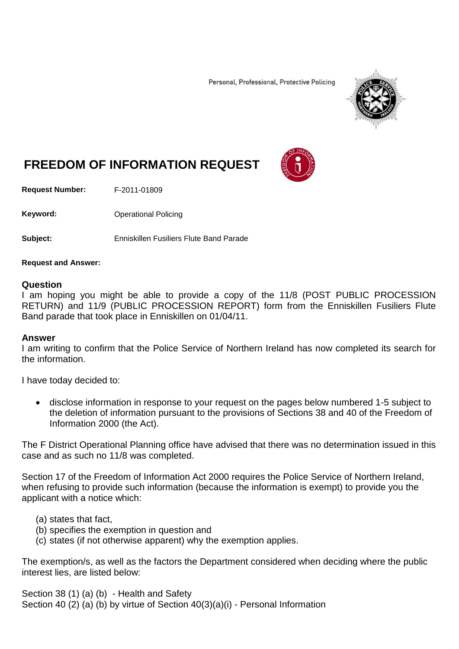Personal, Professional, Protective Policing



# **FREEDOM OF INFORMATION REQUEST**

**Request Number:** F-2011-01809

Keyword: **Channel Policing** Operational Policing

**Subject:** Enniskillen Fusiliers Flute Band Parade

#### **Request and Answer:**

### **Question**

I am hoping you might be able to provide a copy of the 11/8 (POST PUBLIC PROCESSION RETURN) and 11/9 (PUBLIC PROCESSION REPORT) form from the Enniskillen Fusiliers Flute Band parade that took place in Enniskillen on 01/04/11.

## **Answer**

I am writing to confirm that the Police Service of Northern Ireland has now completed its search for the information.

I have today decided to:

• disclose information in response to your request on the pages below numbered 1-5 subject to the deletion of information pursuant to the provisions of Sections 38 and 40 of the Freedom of Information 2000 (the Act).

The F District Operational Planning office have advised that there was no determination issued in this case and as such no 11/8 was completed.

Section 17 of the Freedom of Information Act 2000 requires the Police Service of Northern Ireland, when refusing to provide such information (because the information is exempt) to provide you the applicant with a notice which:

## (a) states that fact,

- (b) specifies the exemption in question and
- (c) states (if not otherwise apparent) why the exemption applies.

The exemption/s, as well as the factors the Department considered when deciding where the public interest lies, are listed below:

Section 38 (1) (a) (b) - Health and Safety Section 40 (2) (a) (b) by virtue of Section 40(3)(a)(i) - Personal Information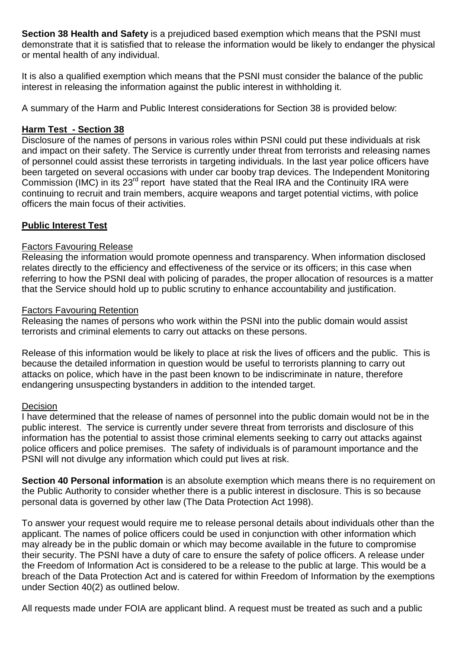**Section 38 Health and Safety** is a prejudiced based exemption which means that the PSNI must demonstrate that it is satisfied that to release the information would be likely to endanger the physical or mental health of any individual.

It is also a qualified exemption which means that the PSNI must consider the balance of the public interest in releasing the information against the public interest in withholding it.

A summary of the Harm and Public Interest considerations for Section 38 is provided below:

## **Harm Test - Section 38**

Disclosure of the names of persons in various roles within PSNI could put these individuals at risk and impact on their safety. The Service is currently under threat from terrorists and releasing names of personnel could assist these terrorists in targeting individuals. In the last year police officers have been targeted on several occasions with under car booby trap devices. The Independent Monitoring Commission (IMC) in its 23<sup>rd</sup> report have stated that the Real IRA and the Continuity IRA were continuing to recruit and train members, acquire weapons and target potential victims, with police officers the main focus of their activities.

# **Public Interest Test**

# Factors Favouring Release

Releasing the information would promote openness and transparency. When information disclosed relates directly to the efficiency and effectiveness of the service or its officers; in this case when referring to how the PSNI deal with policing of parades, the proper allocation of resources is a matter that the Service should hold up to public scrutiny to enhance accountability and justification.

## Factors Favouring Retention

Releasing the names of persons who work within the PSNI into the public domain would assist terrorists and criminal elements to carry out attacks on these persons.

Release of this information would be likely to place at risk the lives of officers and the public. This is because the detailed information in question would be useful to terrorists planning to carry out attacks on police, which have in the past been known to be indiscriminate in nature, therefore endangering unsuspecting bystanders in addition to the intended target.

## Decision

I have determined that the release of names of personnel into the public domain would not be in the public interest. The service is currently under severe threat from terrorists and disclosure of this information has the potential to assist those criminal elements seeking to carry out attacks against police officers and police premises. The safety of individuals is of paramount importance and the PSNI will not divulge any information which could put lives at risk.

**Section 40 Personal information** is an absolute exemption which means there is no requirement on the Public Authority to consider whether there is a public interest in disclosure. This is so because personal data is governed by other law (The Data Protection Act 1998).

To answer your request would require me to release personal details about individuals other than the applicant. The names of police officers could be used in conjunction with other information which may already be in the public domain or which may become available in the future to compromise their security. The PSNI have a duty of care to ensure the safety of police officers. A release under the Freedom of Information Act is considered to be a release to the public at large. This would be a breach of the Data Protection Act and is catered for within Freedom of Information by the exemptions under Section 40(2) as outlined below.

All requests made under FOIA are applicant blind. A request must be treated as such and a public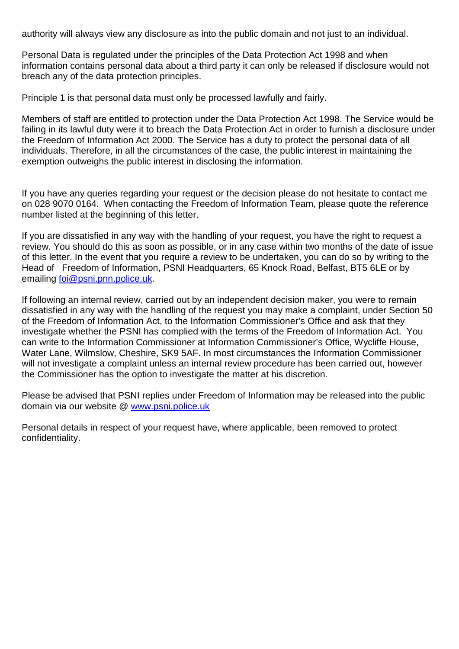authority will always view any disclosure as into the public domain and not just to an individual.

Personal Data is regulated under the principles of the Data Protection Act 1998 and when information contains personal data about a third party it can only be released if disclosure would not breach any of the data protection principles.

Principle 1 is that personal data must only be processed lawfully and fairly.

Members of staff are entitled to protection under the Data Protection Act 1998. The Service would be failing in its lawful duty were it to breach the Data Protection Act in order to furnish a disclosure under the Freedom of Information Act 2000. The Service has a duty to protect the personal data of all individuals. Therefore, in all the circumstances of the case, the public interest in maintaining the exemption outweighs the public interest in disclosing the information.

If you have any queries regarding your request or the decision please do not hesitate to contact me on 028 9070 0164. When contacting the Freedom of Information Team, please quote the reference number listed at the beginning of this letter.

If you are dissatisfied in any way with the handling of your request, you have the right to request a review. You should do this as soon as possible, or in any case within two months of the date of issue of this letter. In the event that you require a review to be undertaken, you can do so by writing to the Head of Freedom of Information, PSNI Headquarters, 65 Knock Road, Belfast, BT5 6LE or by emailing [foi@psni.pnn.police.uk.](mailto:foi@psni.pnn.police.uk)

If following an internal review, carried out by an independent decision maker, you were to remain dissatisfied in any way with the handling of the request you may make a complaint, under Section 50 of the Freedom of Information Act, to the Information Commissioner's Office and ask that they investigate whether the PSNI has complied with the terms of the Freedom of Information Act. You can write to the Information Commissioner at Information Commissioner's Office, Wycliffe House, Water Lane, Wilmslow, Cheshire, SK9 5AF. In most circumstances the Information Commissioner will not investigate a complaint unless an internal review procedure has been carried out, however the Commissioner has the option to investigate the matter at his discretion.

Please be advised that PSNI replies under Freedom of Information may be released into the public domain via our website @ [www.psni.police.uk](http://www.psni.police.uk/)

Personal details in respect of your request have, where applicable, been removed to protect confidentiality.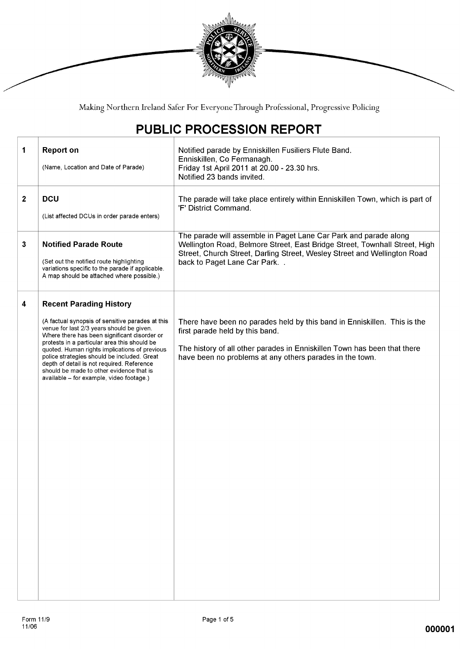

Making Northern Ireland Safer For Everyone Through Professional, Progressive Policing

# PUBLIC PROCESSION REPORT

| 1            | <b>Report on</b><br>(Name, Location and Date of Parade)                                                                                                                                                                                                                                                                                                                                                                                                               | Notified parade by Enniskillen Fusiliers Flute Band.<br>Enniskillen, Co Fermanagh.<br>Friday 1st April 2011 at 20.00 - 23.30 hrs.<br>Notified 23 bands invited.                                                                                           |
|--------------|-----------------------------------------------------------------------------------------------------------------------------------------------------------------------------------------------------------------------------------------------------------------------------------------------------------------------------------------------------------------------------------------------------------------------------------------------------------------------|-----------------------------------------------------------------------------------------------------------------------------------------------------------------------------------------------------------------------------------------------------------|
| $\mathbf{2}$ | <b>DCU</b><br>(List affected DCUs in order parade enters)                                                                                                                                                                                                                                                                                                                                                                                                             | The parade will take place entirely within Enniskillen Town, which is part of<br>'F' District Command.                                                                                                                                                    |
| 3            | <b>Notified Parade Route</b><br>(Set out the notified route highlighting<br>variations specific to the parade if applicable.<br>A map should be attached where possible.)                                                                                                                                                                                                                                                                                             | The parade will assemble in Paget Lane Car Park and parade along<br>Wellington Road, Belmore Street, East Bridge Street, Townhall Street, High<br>Street, Church Street, Darling Street, Wesley Street and Wellington Road<br>back to Paget Lane Car Park |
| 4            | <b>Recent Parading History</b><br>(A factual synopsis of sensitive parades at this<br>venue for last 2/3 years should be given.<br>Where there has been significant disorder or<br>protests in a particular area this should be<br>quoted. Human rights implications of previous<br>police strategies should be included. Great<br>depth of detail is not required. Reference<br>should be made to other evidence that is<br>available - for example, video footage.) | There have been no parades held by this band in Enniskillen. This is the<br>first parade held by this band.<br>The history of all other parades in Enniskillen Town has been that there<br>have been no problems at any others parades in the town.       |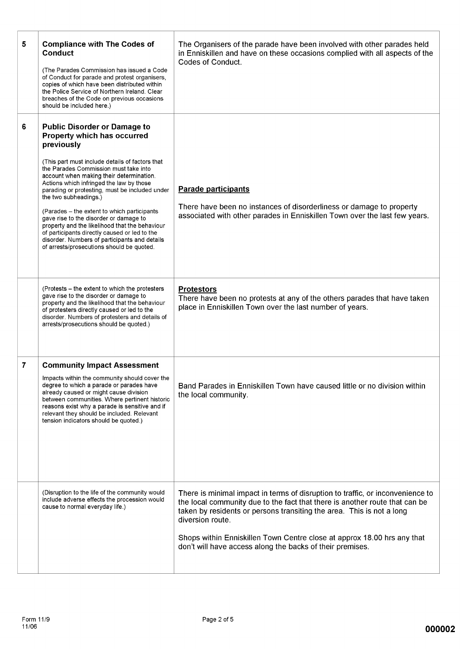| 5<br>6 | <b>Compliance with The Codes of</b><br><b>Conduct</b><br>(The Parades Commission has issued a Code<br>of Conduct for parade and protest organisers,<br>copies of which have been distributed within<br>the Police Service of Northern Ireland, Clear<br>breaches of the Code on previous occasions<br>should be included here.)<br><b>Public Disorder or Damage to</b> | The Organisers of the parade have been involved with other parades held<br>in Enniskillen and have on these occasions complied with all aspects of the<br>Codes of Conduct.                                                                                                                                                                                                                        |
|--------|------------------------------------------------------------------------------------------------------------------------------------------------------------------------------------------------------------------------------------------------------------------------------------------------------------------------------------------------------------------------|----------------------------------------------------------------------------------------------------------------------------------------------------------------------------------------------------------------------------------------------------------------------------------------------------------------------------------------------------------------------------------------------------|
|        | Property which has occurred<br>previously<br>(This part must include details of factors that<br>the Parades Commission must take into<br>account when making their determination.<br>Actions which infringed the law by those<br>parading or protesting, must be included under<br>the two subheadings.)                                                               | <b>Parade participants</b>                                                                                                                                                                                                                                                                                                                                                                         |
|        | (Parades - the extent to which participants<br>gave rise to the disorder or damage to<br>property and the likelihood that the behaviour<br>of participants directly caused or led to the<br>disorder. Numbers of participants and details<br>of arrests/prosecutions should be quoted.                                                                                 | There have been no instances of disorderliness or damage to property<br>associated with other parades in Enniskillen Town over the last few years.                                                                                                                                                                                                                                                 |
|        | (Protests – the extent to which the protesters<br>gave rise to the disorder or damage to<br>property and the likelihood that the behaviour<br>of protesters directly caused or led to the<br>disorder. Numbers of protesters and details of<br>arrests/prosecutions should be quoted.)                                                                                 | <b>Protestors</b><br>There have been no protests at any of the others parades that have taken<br>place in Enniskillen Town over the last number of years.                                                                                                                                                                                                                                          |
| 7      | <b>Community Impact Assessment</b><br>Impacts within the community should cover the<br>degree to which a parade or parades have<br>already caused or might cause division<br>between communities. Where pertinent historic<br>reasons exist why a parade is sensitive and if<br>relevant they should be included. Relevant<br>tension indicators should be quoted.)    | Band Parades in Enniskillen Town have caused little or no division within<br>the local community.                                                                                                                                                                                                                                                                                                  |
|        | (Disruption to the life of the community would<br>include adverse effects the procession would<br>cause to normal everyday life.)                                                                                                                                                                                                                                      | There is minimal impact in terms of disruption to traffic, or inconvenience to<br>the local community due to the fact that there is another route that can be<br>taken by residents or persons transiting the area. This is not a long<br>diversion route.<br>Shops within Enniskillen Town Centre close at approx 18.00 hrs any that<br>don't will have access along the backs of their premises. |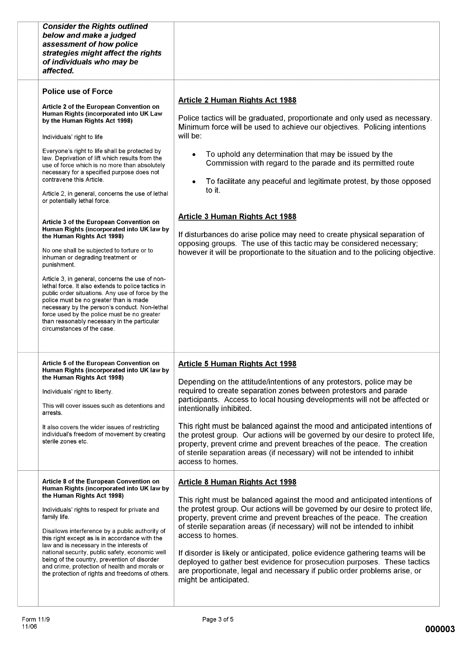| <b>Consider the Rights outlined</b><br>below and make a judged<br>assessment of how police<br>strategies might affect the rights<br>of individuals who may be<br>affected.                                                                                                                                                                                                                                                                                                                                                                                                                                                                                                                                                                                                                                                                                                                                                                                                                                                                                                                                     |                                                                                                                                                                                                                                                                                                                                                                                                                                                                                                                                                                                                                                                                                                             |
|----------------------------------------------------------------------------------------------------------------------------------------------------------------------------------------------------------------------------------------------------------------------------------------------------------------------------------------------------------------------------------------------------------------------------------------------------------------------------------------------------------------------------------------------------------------------------------------------------------------------------------------------------------------------------------------------------------------------------------------------------------------------------------------------------------------------------------------------------------------------------------------------------------------------------------------------------------------------------------------------------------------------------------------------------------------------------------------------------------------|-------------------------------------------------------------------------------------------------------------------------------------------------------------------------------------------------------------------------------------------------------------------------------------------------------------------------------------------------------------------------------------------------------------------------------------------------------------------------------------------------------------------------------------------------------------------------------------------------------------------------------------------------------------------------------------------------------------|
| <b>Police use of Force</b><br>Article 2 of the European Convention on<br>Human Rights (incorporated into UK Law<br>by the Human Rights Act 1998)<br>Individuals' right to life<br>Everyone's right to life shall be protected by<br>law. Deprivation of lift which results from the<br>use of force which is no more than absolutely<br>necessary for a specified purpose does not<br>contravene this Article.<br>Article 2, in general, concerns the use of lethal<br>or potentially lethal force.<br>Article 3 of the European Convention on<br>Human Rights (incorporated into UK law by<br>the Human Rights Act 1998)<br>No one shall be subjected to torture or to<br>inhuman or degrading treatment or<br>punishment.<br>Article 3, in general, concerns the use of non-<br>lethal force. It also extends to police tactics in<br>public order situations. Any use of force by the<br>police must be no greater than is made<br>necessary by the person's conduct. Non-lethal<br>force used by the police must be no greater<br>than reasonably necessary in the particular<br>circumstances of the case | <b>Article 2 Human Rights Act 1988</b><br>Police tactics will be graduated, proportionate and only used as necessary.<br>Minimum force will be used to achieve our objectives. Policing intentions<br>will be:<br>To uphold any determination that may be issued by the<br>Commission with regard to the parade and its permitted route<br>To facilitate any peaceful and legitimate protest, by those opposed<br>to it.<br><b>Article 3 Human Rights Act 1988</b><br>If disturbances do arise police may need to create physical separation of<br>opposing groups. The use of this tactic may be considered necessary;<br>however it will be proportionate to the situation and to the policing objective. |
| Article 5 of the European Convention on<br>Human Rights (incorporated into UK law by<br>the Human Rights Act 1998)<br>Individuals' right to liberty.<br>This will cover issues such as detentions and<br>arrests.<br>It also covers the wider issues of restricting<br>individual's freedom of movement by creating<br>sterile zones etc.                                                                                                                                                                                                                                                                                                                                                                                                                                                                                                                                                                                                                                                                                                                                                                      | <b>Article 5 Human Rights Act 1998</b><br>Depending on the attitude/intentions of any protestors, police may be<br>required to create separation zones between protestors and parade<br>participants. Access to local housing developments will not be affected or<br>intentionally inhibited.<br>This right must be balanced against the mood and anticipated intentions of<br>the protest group. Our actions will be governed by our desire to protect life,<br>property, prevent crime and prevent breaches of the peace. The creation<br>of sterile separation areas (if necessary) will not be intended to inhibit<br>access to homes.                                                                 |
| Article 8 of the European Convention on<br>Human Rights (incorporated into UK law by<br>the Human Rights Act 1998)<br>Individuals' rights to respect for private and<br>family life.<br>Disallows interference by a public authority of<br>this right except as is in accordance with the<br>law and is necessary in the interests of<br>national security, public safety, economic well<br>being of the country, prevention of disorder<br>and crime, protection of health and morals or<br>the protection of rights and freedoms of others.                                                                                                                                                                                                                                                                                                                                                                                                                                                                                                                                                                  | <b>Article 8 Human Rights Act 1998</b><br>This right must be balanced against the mood and anticipated intentions of<br>the protest group. Our actions will be governed by our desire to protect life,<br>property, prevent crime and prevent breaches of the peace. The creation<br>of sterile separation areas (if necessary) will not be intended to inhibit<br>access to homes.<br>If disorder is likely or anticipated, police evidence gathering teams will be<br>deployed to gather best evidence for prosecution purposes. These tactics<br>are proportionate, legal and necessary if public order problems arise, or<br>might be anticipated.                                                      |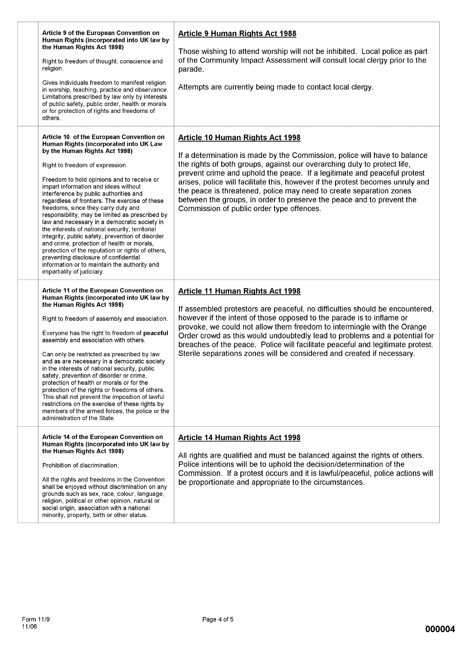| Article 9 of the European Convention on<br>Human Rights (incorporated into UK law by<br>the Human Rights Act 1998)<br>Right to freedom of thought, conscience and<br>religion.<br>Gives individuals freedom to manifest religion<br>in worship, teaching, practice and observance.<br>Limitations prescribed by law only by interests<br>of public safety, public order, health or morals<br>or for protection of rights and freedoms of<br>others.                                                                                                                                                                                                                                                                                                                                                                 | <b>Article 9 Human Rights Act 1988</b><br>Those wishing to attend worship will not be inhibited. Local police as part<br>of the Community Impact Assessment will consult local clergy prior to the<br>parade.<br>Attempts are currently being made to contact local clergy.                                                                                                                                                                                                                                                                                 |
|---------------------------------------------------------------------------------------------------------------------------------------------------------------------------------------------------------------------------------------------------------------------------------------------------------------------------------------------------------------------------------------------------------------------------------------------------------------------------------------------------------------------------------------------------------------------------------------------------------------------------------------------------------------------------------------------------------------------------------------------------------------------------------------------------------------------|-------------------------------------------------------------------------------------------------------------------------------------------------------------------------------------------------------------------------------------------------------------------------------------------------------------------------------------------------------------------------------------------------------------------------------------------------------------------------------------------------------------------------------------------------------------|
| Article 10 of the European Convention on<br>Human Rights (incorporated into UK Law<br>by the Human Rights Act 1998)<br>Right to freedom of expression.<br>Freedom to hold opinions and to receive or<br>impart information and ideas without<br>interference by public authorities and<br>regardless of frontiers. The exercise of these<br>freedoms, since they carry duty and<br>responsibility, may be limited as prescribed by<br>law and necessary in a democratic society in<br>the interests of national security, territorial<br>integrity, public safety, prevention of disorder<br>and crime, protection of health or morals,<br>protection of the reputation or rights of others,<br>preventing disclosure of confidential<br>information or to maintain the authority and<br>impartiality of judiciary. | <b>Article 10 Human Rights Act 1998</b><br>If a determination is made by the Commission, police will have to balance<br>the rights of both groups, against our overarching duty to protect life,<br>prevent crime and uphold the peace. If a legitimate and peaceful protest<br>arises, police will facilitate this, however if the protest becomes unruly and<br>the peace is threatened, police may need to create separation zones<br>between the groups, in order to preserve the peace and to prevent the<br>Commission of public order type offences. |
| Article 11 of the European Convention on<br>Human Rights (incorporated into UK law by<br>the Human Rights Act 1998)<br>Right to freedom of assembly and association.<br>Everyone has the right to freedom of peaceful<br>assembly and association with others.<br>Can only be restricted as prescribed by law<br>and as are necessary in a democratic society<br>in the interests of national security, public<br>safety, prevention of disorder or crime,<br>protection of health or morals or for the<br>protection of the rights or freedoms of others.<br>This shall not prevent the imposition of lawful<br>restrictions on the exercise of these rights by<br>members of the armed forces, the police or the<br>administration of the State.                                                                  | <b>Article 11 Human Rights Act 1998</b><br>If assembled protestors are peaceful, no difficulties should be encountered,<br>however if the intent of those opposed to the parade is to inflame or<br>provoke, we could not allow them freedom to intermingle with the Orange<br>Order crowd as this would undoubtedly lead to problems and a potential for<br>breaches of the peace. Police will facilitate peaceful and legitimate protest.<br>Sterile separations zones will be considered and created if necessary.                                       |
| Article 14 of the European Convention on<br>Human Rights (incorporated into UK law by<br>the Human Rights Act 1998)<br>Prohibition of discrimination.<br>All the rights and freedoms in the Convention<br>shall be enjoyed without discrimination on any<br>grounds such as sex, race, colour, language,<br>religion, political or other opinion, natural or<br>social origin, association with a national<br>minority, property, birth or other status.                                                                                                                                                                                                                                                                                                                                                            | <b>Article 14 Human Rights Act 1998</b><br>All rights are qualified and must be balanced against the rights of others.<br>Police intentions will be to uphold the decision/determination of the<br>Commission. If a protest occurs and it is lawful/peaceful, police actions will<br>be proportionate and appropriate to the circumstances.                                                                                                                                                                                                                 |